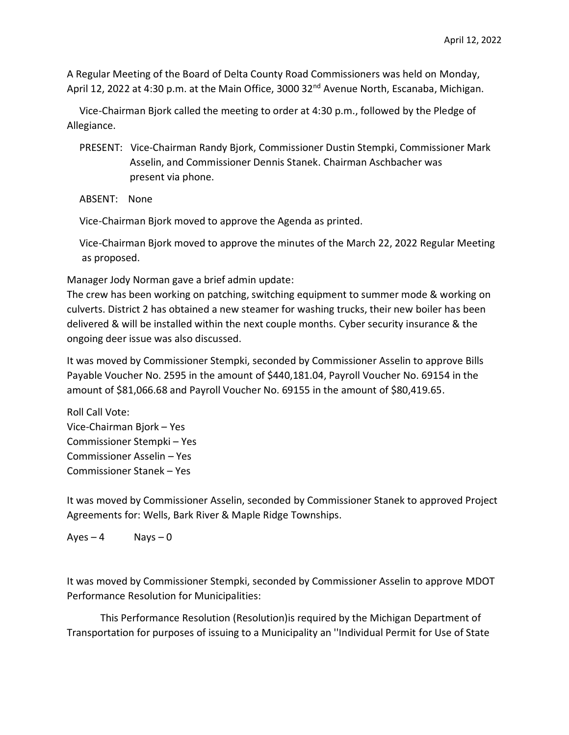A Regular Meeting of the Board of Delta County Road Commissioners was held on Monday, April 12, 2022 at 4:30 p.m. at the Main Office, 3000 32<sup>nd</sup> Avenue North, Escanaba, Michigan.

 Vice-Chairman Bjork called the meeting to order at 4:30 p.m., followed by the Pledge of Allegiance.

 PRESENT: Vice-Chairman Randy Bjork, Commissioner Dustin Stempki, Commissioner Mark Asselin, and Commissioner Dennis Stanek. Chairman Aschbacher was present via phone.

ABSENT: None

Vice-Chairman Bjork moved to approve the Agenda as printed.

 Vice-Chairman Bjork moved to approve the minutes of the March 22, 2022 Regular Meeting as proposed.

Manager Jody Norman gave a brief admin update:

The crew has been working on patching, switching equipment to summer mode & working on culverts. District 2 has obtained a new steamer for washing trucks, their new boiler has been delivered & will be installed within the next couple months. Cyber security insurance & the ongoing deer issue was also discussed.

It was moved by Commissioner Stempki, seconded by Commissioner Asselin to approve Bills Payable Voucher No. 2595 in the amount of \$440,181.04, Payroll Voucher No. 69154 in the amount of \$81,066.68 and Payroll Voucher No. 69155 in the amount of \$80,419.65.

Roll Call Vote: Vice-Chairman Bjork – Yes Commissioner Stempki – Yes Commissioner Asselin – Yes Commissioner Stanek – Yes

It was moved by Commissioner Asselin, seconded by Commissioner Stanek to approved Project Agreements for: Wells, Bark River & Maple Ridge Townships.

 $Ayes - 4$  Nays – 0

It was moved by Commissioner Stempki, seconded by Commissioner Asselin to approve MDOT Performance Resolution for Municipalities:

This Performance Resolution (Resolution)is required by the Michigan Department of Transportation for purposes of issuing to a Municipality an ''Individual Permit for Use of State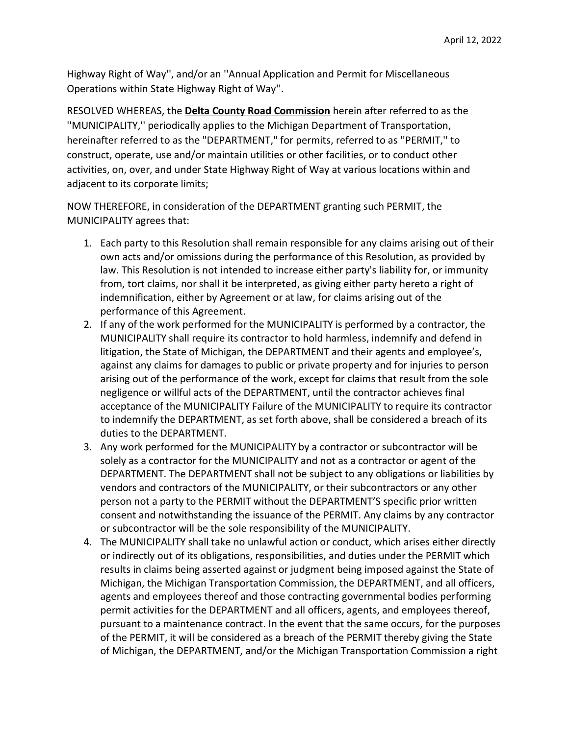Highway Right of Way'', and/or an ''Annual Application and Permit for Miscellaneous Operations within State Highway Right of Way''.

RESOLVED WHEREAS, the **Delta County Road Commission** herein after referred to as the ''MUNICIPALITY,'' periodically applies to the Michigan Department of Transportation, hereinafter referred to as the "DEPARTMENT," for permits, referred to as ''PERMIT,'' to construct, operate, use and/or maintain utilities or other facilities, or to conduct other activities, on, over, and under State Highway Right of Way at various locations within and adjacent to its corporate limits;

NOW THEREFORE, in consideration of the DEPARTMENT granting such PERMIT, the MUNICIPALITY agrees that:

- 1. Each party to this Resolution shall remain responsible for any claims arising out of their own acts and/or omissions during the performance of this Resolution, as provided by law. This Resolution is not intended to increase either party's liability for, or immunity from, tort claims, nor shall it be interpreted, as giving either party hereto a right of indemnification, either by Agreement or at law, for claims arising out of the performance of this Agreement.
- 2. If any of the work performed for the MUNICIPALITY is performed by a contractor, the MUNICIPALITY shall require its contractor to hold harmless, indemnify and defend in litigation, the State of Michigan, the DEPARTMENT and their agents and employee's, against any claims for damages to public or private property and for injuries to person arising out of the performance of the work, except for claims that result from the sole negligence or willful acts of the DEPARTMENT, until the contractor achieves final acceptance of the MUNICIPALITY Failure of the MUNICIPALITY to require its contractor to indemnify the DEPARTMENT, as set forth above, shall be considered a breach of its duties to the DEPARTMENT.
- 3. Any work performed for the MUNICIPALITY by a contractor or subcontractor will be solely as a contractor for the MUNICIPALITY and not as a contractor or agent of the DEPARTMENT. The DEPARTMENT shall not be subject to any obligations or liabilities by vendors and contractors of the MUNICIPALITY, or their subcontractors or any other person not a party to the PERMIT without the DEPARTMENT'S specific prior written consent and notwithstanding the issuance of the PERMIT. Any claims by any contractor or subcontractor will be the sole responsibility of the MUNICIPALITY.
- 4. The MUNICIPALITY shall take no unlawful action or conduct, which arises either directly or indirectly out of its obligations, responsibilities, and duties under the PERMIT which results in claims being asserted against or judgment being imposed against the State of Michigan, the Michigan Transportation Commission, the DEPARTMENT, and all officers, agents and employees thereof and those contracting governmental bodies performing permit activities for the DEPARTMENT and all officers, agents, and employees thereof, pursuant to a maintenance contract. In the event that the same occurs, for the purposes of the PERMIT, it will be considered as a breach of the PERMIT thereby giving the State of Michigan, the DEPARTMENT, and/or the Michigan Transportation Commission a right